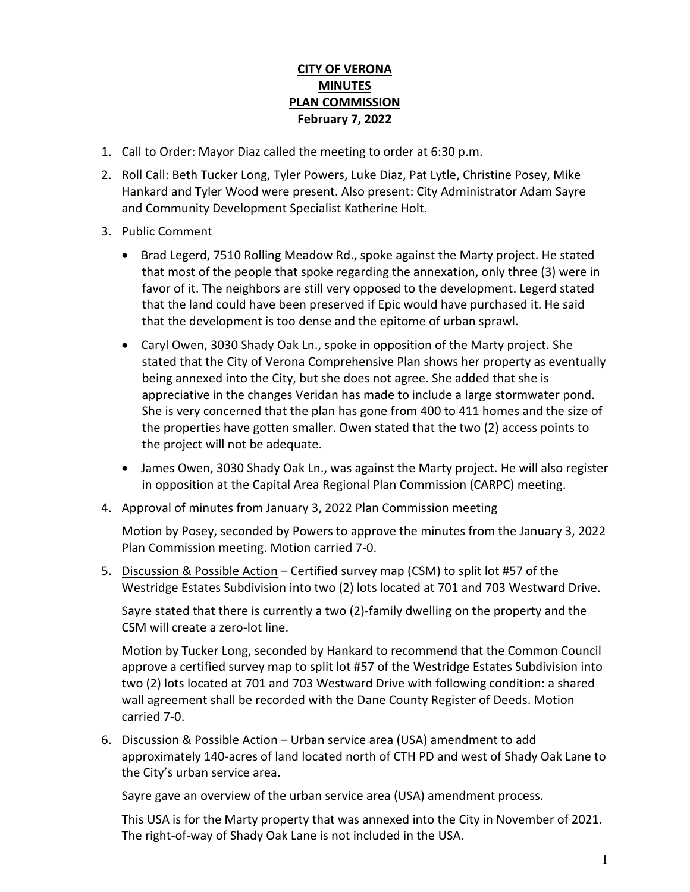## **CITY OF VERONA MINUTES PLAN COMMISSION February 7, 2022**

- 1. Call to Order: Mayor Diaz called the meeting to order at 6:30 p.m.
- 2. Roll Call: Beth Tucker Long, Tyler Powers, Luke Diaz, Pat Lytle, Christine Posey, Mike Hankard and Tyler Wood were present. Also present: City Administrator Adam Sayre and Community Development Specialist Katherine Holt.
- 3. Public Comment
	- Brad Legerd, 7510 Rolling Meadow Rd., spoke against the Marty project. He stated that most of the people that spoke regarding the annexation, only three (3) were in favor of it. The neighbors are still very opposed to the development. Legerd stated that the land could have been preserved if Epic would have purchased it. He said that the development is too dense and the epitome of urban sprawl.
	- Caryl Owen, 3030 Shady Oak Ln., spoke in opposition of the Marty project. She stated that the City of Verona Comprehensive Plan shows her property as eventually being annexed into the City, but she does not agree. She added that she is appreciative in the changes Veridan has made to include a large stormwater pond. She is very concerned that the plan has gone from 400 to 411 homes and the size of the properties have gotten smaller. Owen stated that the two (2) access points to the project will not be adequate.
	- James Owen, 3030 Shady Oak Ln., was against the Marty project. He will also register in opposition at the Capital Area Regional Plan Commission (CARPC) meeting.
- 4. Approval of minutes from January 3, 2022 Plan Commission meeting

Motion by Posey, seconded by Powers to approve the minutes from the January 3, 2022 Plan Commission meeting. Motion carried 7-0.

5. Discussion & Possible Action – Certified survey map (CSM) to split lot #57 of the Westridge Estates Subdivision into two (2) lots located at 701 and 703 Westward Drive.

Sayre stated that there is currently a two (2)-family dwelling on the property and the CSM will create a zero-lot line.

Motion by Tucker Long, seconded by Hankard to recommend that the Common Council approve a certified survey map to split lot #57 of the Westridge Estates Subdivision into two (2) lots located at 701 and 703 Westward Drive with following condition: a shared wall agreement shall be recorded with the Dane County Register of Deeds. Motion carried 7-0.

6. Discussion & Possible Action – Urban service area (USA) amendment to add approximately 140-acres of land located north of CTH PD and west of Shady Oak Lane to the City's urban service area.

Sayre gave an overview of the urban service area (USA) amendment process.

This USA is for the Marty property that was annexed into the City in November of 2021. The right-of-way of Shady Oak Lane is not included in the USA.